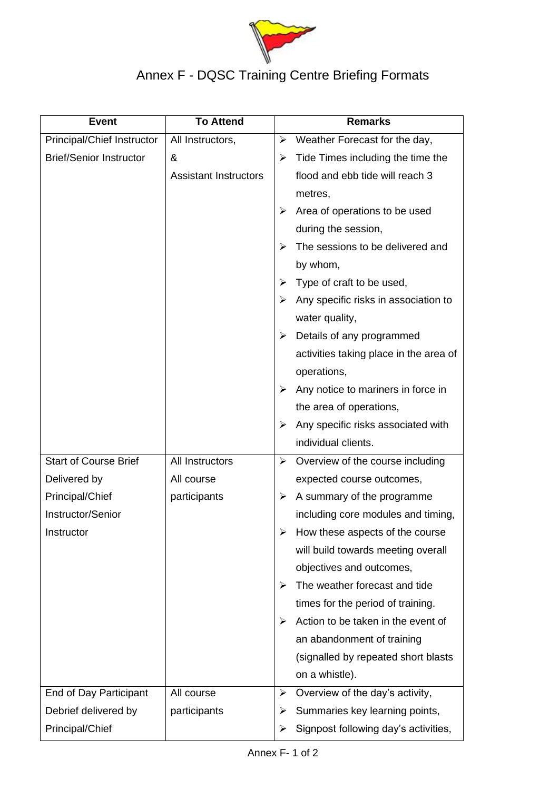

## Annex F - DQSC Training Centre Briefing Formats

| <b>Event</b>                      | <b>To Attend</b>             |   | <b>Remarks</b>                         |  |
|-----------------------------------|------------------------------|---|----------------------------------------|--|
| <b>Principal/Chief Instructor</b> | All Instructors,             | ➤ | Weather Forecast for the day,          |  |
| <b>Brief/Senior Instructor</b>    | &                            | ➤ | Tide Times including the time the      |  |
|                                   | <b>Assistant Instructors</b> |   | flood and ebb tide will reach 3        |  |
|                                   |                              |   | metres,                                |  |
|                                   |                              | ➤ | Area of operations to be used          |  |
|                                   |                              |   | during the session,                    |  |
|                                   |                              | ⋗ | The sessions to be delivered and       |  |
|                                   |                              |   | by whom,                               |  |
|                                   |                              | ➤ | Type of craft to be used,              |  |
|                                   |                              | ⋗ | Any specific risks in association to   |  |
|                                   |                              |   | water quality,                         |  |
|                                   |                              | ➤ | Details of any programmed              |  |
|                                   |                              |   | activities taking place in the area of |  |
|                                   |                              |   | operations,                            |  |
|                                   |                              | ➤ | Any notice to mariners in force in     |  |
|                                   |                              |   | the area of operations,                |  |
|                                   |                              | ➤ | Any specific risks associated with     |  |
|                                   |                              |   | individual clients.                    |  |
| <b>Start of Course Brief</b>      | All Instructors              | ➤ | Overview of the course including       |  |
| Delivered by                      | All course                   |   | expected course outcomes,              |  |
| Principal/Chief                   | participants                 | ➤ | A summary of the programme             |  |
| Instructor/Senior                 |                              |   | including core modules and timing,     |  |
| Instructor                        |                              | ➤ | How these aspects of the course        |  |
|                                   |                              |   | will build towards meeting overall     |  |
|                                   |                              |   | objectives and outcomes,               |  |
|                                   |                              | ➤ | The weather forecast and tide          |  |
|                                   |                              |   | times for the period of training.      |  |
|                                   |                              | ➤ | Action to be taken in the event of     |  |
|                                   |                              |   | an abandonment of training             |  |
|                                   |                              |   | (signalled by repeated short blasts    |  |
|                                   |                              |   | on a whistle).                         |  |
| End of Day Participant            | All course                   | ➤ | Overview of the day's activity,        |  |
| Debrief delivered by              | participants                 | ➤ | Summaries key learning points,         |  |
| Principal/Chief                   |                              | ➤ | Signpost following day's activities,   |  |